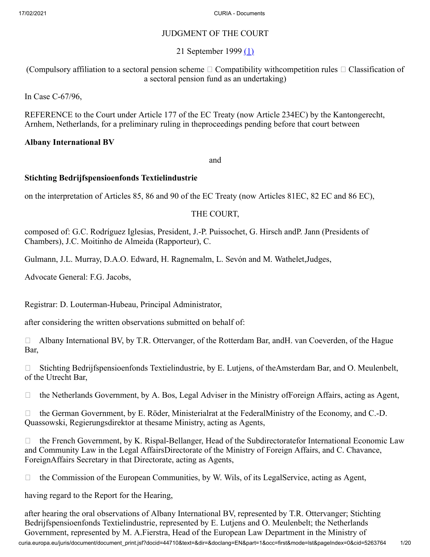# JUDGMENT OF THE COURT

<span id="page-0-0"></span>21 September 1999 [\(1\)](#page-19-0)

(Compulsory affiliation to a sectoral pension scheme  $\Box$  Compatibility withcompetition rules  $\Box$  Classification of a sectoral pension fund as an undertaking)

In Case C-67/96,

REFERENCE to the Court under Article 177 of the EC Treaty (now Article 234EC) by the Kantongerecht, Arnhem, Netherlands, for a preliminary ruling in theproceedings pending before that court between

# **Albany International BV**

and

# **Stichting Bedrijfspensioenfonds Textielindustrie**

on the interpretation of Articles 85, 86 and 90 of the EC Treaty (now Articles 81EC, 82 EC and 86 EC),

# THE COURT,

composed of: G.C. Rodríguez Iglesias, President, J.-P. Puissochet, G. Hirsch andP. Jann (Presidents of Chambers), J.C. Moitinho de Almeida (Rapporteur), C.

Gulmann, J.L. Murray, D.A.O. Edward, H. Ragnemalm, L. Sevón and M. Wathelet,Judges,

Advocate General: F.G. Jacobs,

Registrar: D. Louterman-Hubeau, Principal Administrator,

after considering the written observations submitted on behalf of:

 Albany International BV, by T.R. Ottervanger, of the Rotterdam Bar, andH. van Coeverden, of the Hague Bar,

 $\Box$  Stichting Bedrijfspensioenfonds Textielindustrie, by E. Lutjens, of theAmsterdam Bar, and O. Meulenbelt, of the Utrecht Bar,

 $\Box$  the Netherlands Government, by A. Bos, Legal Adviser in the Ministry of Foreign Affairs, acting as Agent,

 $\Box$  the German Government, by E. Röder, Ministerialrat at the FederalMinistry of the Economy, and C.-D. Quassowski, Regierungsdirektor at thesame Ministry, acting as Agents,

 the French Government, by K. Rispal-Bellanger, Head of the Subdirectoratefor International Economic Law and Community Law in the Legal AffairsDirectorate of the Ministry of Foreign Affairs, and C. Chavance, ForeignAffairs Secretary in that Directorate, acting as Agents,

 $\Box$  the Commission of the European Communities, by W. Wils, of its LegalService, acting as Agent,

having regard to the Report for the Hearing,

curia.europa.eu/juris/document/document\_print.jsf?docid=44710&text=&dir=&doclang=EN&part=1&occ=first&mode=lst&pageIndex=0&cid=5263764 1/20 after hearing the oral observations of Albany International BV, represented by T.R. Ottervanger; Stichting Bedrijfspensioenfonds Textielindustrie, represented by E. Lutjens and O. Meulenbelt; the Netherlands Government, represented by M. A.Fierstra, Head of the European Law Department in the Ministry of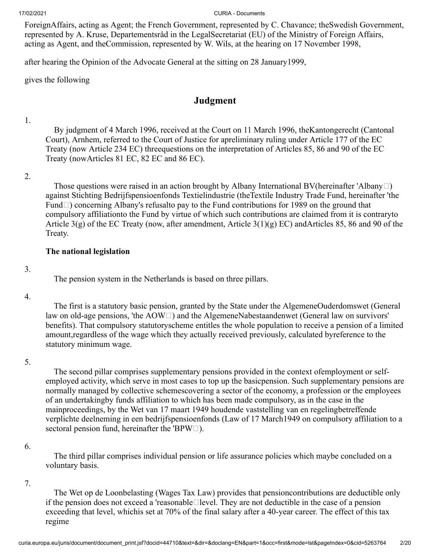ForeignAffairs, acting as Agent; the French Government, represented by C. Chavance; theSwedish Government, represented by A. Kruse, Departementsråd in the LegalSecretariat (EU) of the Ministry of Foreign Affairs, acting as Agent, and theCommission, represented by W. Wils, at the hearing on 17 November 1998,

after hearing the Opinion of the Advocate General at the sitting on 28 January1999,

gives the following

# **Judgment**

### 1.

 By judgment of 4 March 1996, received at the Court on 11 March 1996, theKantongerecht (Cantonal Court), Arnhem, referred to the Court of Justice for apreliminary ruling under Article 177 of the EC Treaty (now Article 234 EC) threequestions on the interpretation of Articles 85, 86 and 90 of the EC Treaty (nowArticles 81 EC, 82 EC and 86 EC).

## 2.

Those questions were raised in an action brought by Albany International BV(hereinafter 'Albany $\Box$ ) against Stichting Bedrijfspensioenfonds Textielindustrie (theTextile Industry Trade Fund, hereinafter 'the Fund $\Box$ ) concerning Albany's refusalto pay to the Fund contributions for 1989 on the ground that compulsory affiliationto the Fund by virtue of which such contributions are claimed from it is contraryto Article 3(g) of the EC Treaty (now, after amendment, Article 3(1)(g) EC) andArticles 85, 86 and 90 of the Treaty.

## **The national legislation**

## 3.

The pension system in the Netherlands is based on three pillars.

## 4.

 The first is a statutory basic pension, granted by the State under the AlgemeneOuderdomswet (General law on old-age pensions, 'the AOW<sup>[1]</sup>) and the AlgemeneNabestaandenwet (General law on survivors' benefits). That compulsory statutoryscheme entitles the whole population to receive a pension of a limited amount,regardless of the wage which they actually received previously, calculated byreference to the statutory minimum wage.

## 5.

 The second pillar comprises supplementary pensions provided in the context ofemployment or selfemployed activity, which serve in most cases to top up the basicpension. Such supplementary pensions are normally managed by collective schemescovering a sector of the economy, a profession or the employees of an undertakingby funds affiliation to which has been made compulsory, as in the case in the mainproceedings, by the Wet van 17 maart 1949 houdende vaststelling van en regelingbetreffende verplichte deelneming in een bedrijfspensioenfonds (Law of 17 March1949 on compulsory affiliation to a sectoral pension fund, hereinafter the 'BPW $\square$ ).

### 6.

 The third pillar comprises individual pension or life assurance policies which maybe concluded on a voluntary basis.

## 7.

 The Wet op de Loonbelasting (Wages Tax Law) provides that pensioncontributions are deductible only if the pension does not exceed a 'reasonable $\square$  level. They are not deductible in the case of a pension exceeding that level, whichis set at 70% of the final salary after a 40-year career. The effect of this tax regime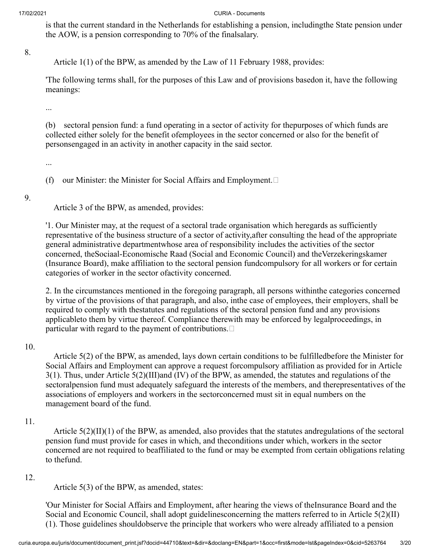is that the current standard in the Netherlands for establishing a pension, includingthe State pension under the AOW, is a pension corresponding to 70% of the finalsalary.

### 8.

Article 1(1) of the BPW, as amended by the Law of 11 February 1988, provides:

'The following terms shall, for the purposes of this Law and of provisions basedon it, have the following meanings:

...

(b) sectoral pension fund: a fund operating in a sector of activity for thepurposes of which funds are collected either solely for the benefit ofemployees in the sector concerned or also for the benefit of personsengaged in an activity in another capacity in the said sector.

...

(f) our Minister: the Minister for Social Affairs and Employment. $\square$ 

## 9.

Article 3 of the BPW, as amended, provides:

'1. Our Minister may, at the request of a sectoral trade organisation which heregards as sufficiently representative of the business structure of a sector of activity,after consulting the head of the appropriate general administrative departmentwhose area of responsibility includes the activities of the sector concerned, theSociaal-Economische Raad (Social and Economic Council) and theVerzekeringskamer (Insurance Board), make affiliation to the sectoral pension fundcompulsory for all workers or for certain categories of worker in the sector ofactivity concerned.

2. In the circumstances mentioned in the foregoing paragraph, all persons withinthe categories concerned by virtue of the provisions of that paragraph, and also, inthe case of employees, their employers, shall be required to comply with thestatutes and regulations of the sectoral pension fund and any provisions applicableto them by virtue thereof. Compliance therewith may be enforced by legalproceedings, in particular with regard to the payment of contributions.  $\square$ 

10.

 Article 5(2) of the BPW, as amended, lays down certain conditions to be fulfilledbefore the Minister for Social Affairs and Employment can approve a request forcompulsory affiliation as provided for in Article 3(1). Thus, under Article 5(2)(III)and (IV) of the BPW, as amended, the statutes and regulations of the sectoralpension fund must adequately safeguard the interests of the members, and therepresentatives of the associations of employers and workers in the sectorconcerned must sit in equal numbers on the management board of the fund.

### 11.

Article  $5(2)(II)(1)$  of the BPW, as amended, also provides that the statutes andregulations of the sectoral pension fund must provide for cases in which, and theconditions under which, workers in the sector concerned are not required to beaffiliated to the fund or may be exempted from certain obligations relating to thefund.

### 12.

Article 5(3) of the BPW, as amended, states:

'Our Minister for Social Affairs and Employment, after hearing the views of theInsurance Board and the Social and Economic Council, shall adopt guidelinesconcerning the matters referred to in Article 5(2)(II) (1). Those guidelines shouldobserve the principle that workers who were already affiliated to a pension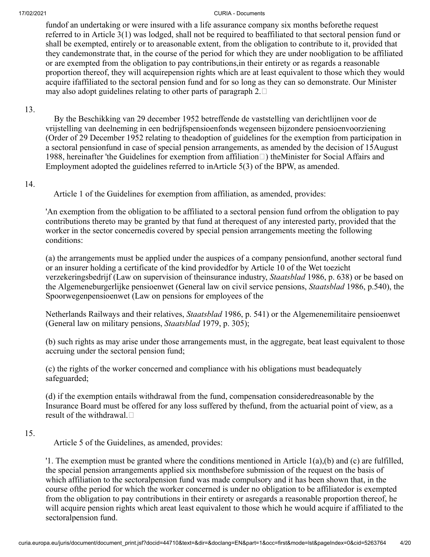fundof an undertaking or were insured with a life assurance company six months beforethe request referred to in Article 3(1) was lodged, shall not be required to beaffiliated to that sectoral pension fund or shall be exempted, entirely or to areasonable extent, from the obligation to contribute to it, provided that they candemonstrate that, in the course of the period for which they are under noobligation to be affiliated or are exempted from the obligation to pay contributions,in their entirety or as regards a reasonable proportion thereof, they will acquirepension rights which are at least equivalent to those which they would acquire ifaffiliated to the sectoral pension fund and for so long as they can so demonstrate. Our Minister may also adopt guidelines relating to other parts of paragraph  $2.\Box$ 

### 13.

 By the Beschikking van 29 december 1952 betreffende de vaststelling van derichtlijnen voor de vrijstelling van deelneming in een bedrijfspensioenfonds wegenseen bijzondere pensioenvoorziening (Order of 29 December 1952 relating to theadoption of guidelines for the exemption from participation in a sectoral pensionfund in case of special pension arrangements, as amended by the decision of 15August 1988, hereinafter 'the Guidelines for exemption from affiliation $\Box$ ) the Minister for Social Affairs and Employment adopted the guidelines referred to inArticle 5(3) of the BPW, as amended.

## 14.

Article 1 of the Guidelines for exemption from affiliation, as amended, provides:

'An exemption from the obligation to be affiliated to a sectoral pension fund orfrom the obligation to pay contributions thereto may be granted by that fund at therequest of any interested party, provided that the worker in the sector concernedis covered by special pension arrangements meeting the following conditions:

(a) the arrangements must be applied under the auspices of a company pensionfund, another sectoral fund or an insurer holding a certificate of the kind providedfor by Article 10 of the Wet toezicht verzekeringsbedrijf (Law on supervision of theinsurance industry, *Staatsblad* 1986, p. 638) or be based on the Algemeneburgerlijke pensioenwet (General law on civil service pensions, *Staatsblad* 1986, p.540), the Spoorwegenpensioenwet (Law on pensions for employees of the

Netherlands Railways and their relatives, *Staatsblad* 1986, p. 541) or the Algemenemilitaire pensioenwet (General law on military pensions, *Staatsblad* 1979, p. 305);

(b) such rights as may arise under those arrangements must, in the aggregate, beat least equivalent to those accruing under the sectoral pension fund;

(c) the rights of the worker concerned and compliance with his obligations must beadequately safeguarded;

(d) if the exemption entails withdrawal from the fund, compensation consideredreasonable by the Insurance Board must be offered for any loss suffered by thefund, from the actuarial point of view, as a result of the withdrawal.

## 15.

Article 5 of the Guidelines, as amended, provides:

'1. The exemption must be granted where the conditions mentioned in Article 1(a),(b) and (c) are fulfilled, the special pension arrangements applied six monthsbefore submission of the request on the basis of which affiliation to the sectoralpension fund was made compulsory and it has been shown that, in the course ofthe period for which the worker concerned is under no obligation to be affiliatedor is exempted from the obligation to pay contributions in their entirety or asregards a reasonable proportion thereof, he will acquire pension rights which areat least equivalent to those which he would acquire if affiliated to the sectoralpension fund.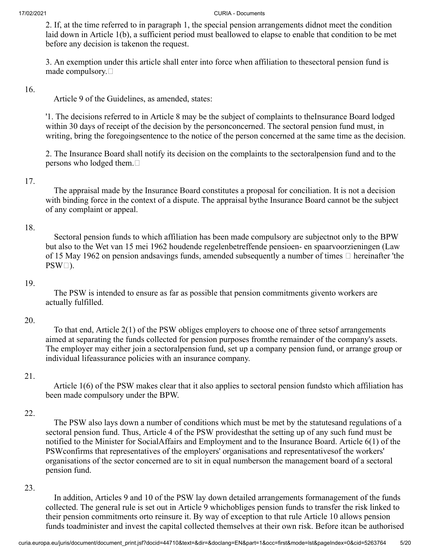2. If, at the time referred to in paragraph 1, the special pension arrangements didnot meet the condition laid down in Article 1(b), a sufficient period must beallowed to elapse to enable that condition to be met before any decision is takenon the request.

3. An exemption under this article shall enter into force when affiliation to thesectoral pension fund is made compulsory.

16.

Article 9 of the Guidelines, as amended, states:

'1. The decisions referred to in Article 8 may be the subject of complaints to theInsurance Board lodged within 30 days of receipt of the decision by the personconcerned. The sectoral pension fund must, in writing, bring the foregoingsentence to the notice of the person concerned at the same time as the decision.

2. The Insurance Board shall notify its decision on the complaints to the sectoralpension fund and to the persons who lodged them.

### 17.

 The appraisal made by the Insurance Board constitutes a proposal for conciliation. It is not a decision with binding force in the context of a dispute. The appraisal bythe Insurance Board cannot be the subject of any complaint or appeal.

### 18.

 Sectoral pension funds to which affiliation has been made compulsory are subjectnot only to the BPW but also to the Wet van 15 mei 1962 houdende regelenbetreffende pensioen- en spaarvoorzieningen (Law of 15 May 1962 on pension and savings funds, amended subsequently a number of times  $\Box$  hereinafter 'the  $PSW\square$ ).

### 19.

 The PSW is intended to ensure as far as possible that pension commitments givento workers are actually fulfilled.

### 20.

 To that end, Article 2(1) of the PSW obliges employers to choose one of three setsof arrangements aimed at separating the funds collected for pension purposes fromthe remainder of the company's assets. The employer may either join a sectoralpension fund, set up a company pension fund, or arrange group or individual lifeassurance policies with an insurance company.

### 21.

 Article 1(6) of the PSW makes clear that it also applies to sectoral pension fundsto which affiliation has been made compulsory under the BPW.

### 22.

 The PSW also lays down a number of conditions which must be met by the statutesand regulations of a sectoral pension fund. Thus, Article 4 of the PSW providesthat the setting up of any such fund must be notified to the Minister for SocialAffairs and Employment and to the Insurance Board. Article 6(1) of the PSWconfirms that representatives of the employers' organisations and representativesof the workers' organisations of the sector concerned are to sit in equal numberson the management board of a sectoral pension fund.

### 23.

 In addition, Articles 9 and 10 of the PSW lay down detailed arrangements formanagement of the funds collected. The general rule is set out in Article 9 whichobliges pension funds to transfer the risk linked to their pension commitments orto reinsure it. By way of exception to that rule Article 10 allows pension funds toadminister and invest the capital collected themselves at their own risk. Before itcan be authorised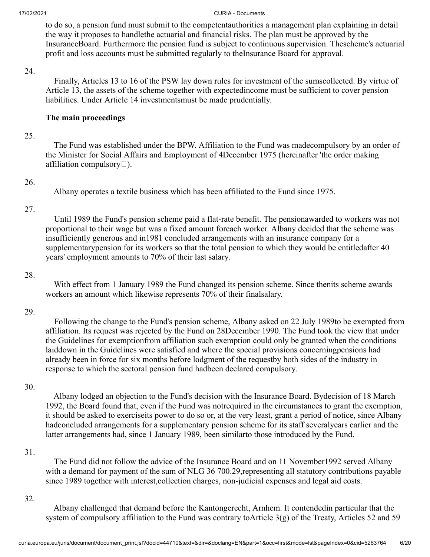to do so, a pension fund must submit to the competentauthorities a management plan explaining in detail the way it proposes to handlethe actuarial and financial risks. The plan must be approved by the InsuranceBoard. Furthermore the pension fund is subject to continuous supervision. Thescheme's actuarial profit and loss accounts must be submitted regularly to theInsurance Board for approval.

### 24.

 Finally, Articles 13 to 16 of the PSW lay down rules for investment of the sumscollected. By virtue of Article 13, the assets of the scheme together with expectedincome must be sufficient to cover pension liabilities. Under Article 14 investmentsmust be made prudentially.

### **The main proceedings**

### 25.

 The Fund was established under the BPW. Affiliation to the Fund was madecompulsory by an order of the Minister for Social Affairs and Employment of 4December 1975 (hereinafter 'the order making affiliation compulsory $\square$ ).

### 26.

Albany operates a textile business which has been affiliated to the Fund since 1975.

### 27.

 Until 1989 the Fund's pension scheme paid a flat-rate benefit. The pensionawarded to workers was not proportional to their wage but was a fixed amount foreach worker. Albany decided that the scheme was insufficiently generous and in1981 concluded arrangements with an insurance company for a supplementarypension for its workers so that the total pension to which they would be entitledafter 40 years' employment amounts to 70% of their last salary.

### 28.

 With effect from 1 January 1989 the Fund changed its pension scheme. Since thenits scheme awards workers an amount which likewise represents 70% of their finalsalary.

### 29.

 Following the change to the Fund's pension scheme, Albany asked on 22 July 1989to be exempted from affiliation. Its request was rejected by the Fund on 28December 1990. The Fund took the view that under the Guidelines for exemptionfrom affiliation such exemption could only be granted when the conditions laiddown in the Guidelines were satisfied and where the special provisions concerningpensions had already been in force for six months before lodgment of the requestby both sides of the industry in response to which the sectoral pension fund hadbeen declared compulsory.

### 30.

 Albany lodged an objection to the Fund's decision with the Insurance Board. Bydecision of 18 March 1992, the Board found that, even if the Fund was notrequired in the circumstances to grant the exemption, it should be asked to exerciseits power to do so or, at the very least, grant a period of notice, since Albany hadconcluded arrangements for a supplementary pension scheme for its staff severalyears earlier and the latter arrangements had, since 1 January 1989, been similarto those introduced by the Fund.

### 31.

 The Fund did not follow the advice of the Insurance Board and on 11 November1992 served Albany with a demand for payment of the sum of NLG 36 700.29, representing all statutory contributions payable since 1989 together with interest,collection charges, non-judicial expenses and legal aid costs.

### 32.

 Albany challenged that demand before the Kantongerecht, Arnhem. It contendedin particular that the system of compulsory affiliation to the Fund was contrary toArticle 3(g) of the Treaty, Articles 52 and 59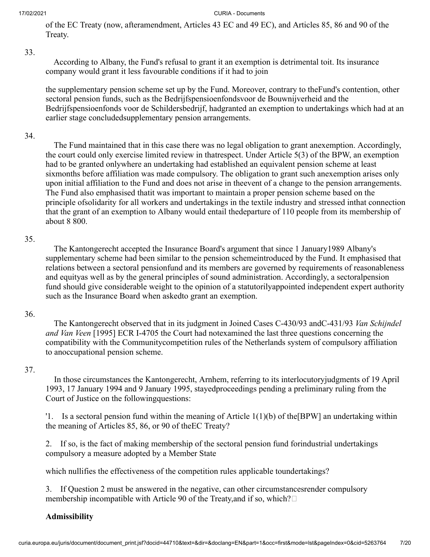of the EC Treaty (now, afteramendment, Articles 43 EC and 49 EC), and Articles 85, 86 and 90 of the Treaty.

### 33.

 According to Albany, the Fund's refusal to grant it an exemption is detrimental toit. Its insurance company would grant it less favourable conditions if it had to join

the supplementary pension scheme set up by the Fund. Moreover, contrary to theFund's contention, other sectoral pension funds, such as the Bedrijfspensioenfondsvoor de Bouwnijverheid and the Bedrijfspensioenfonds voor de Schildersbedrijf, hadgranted an exemption to undertakings which had at an earlier stage concludedsupplementary pension arrangements.

## 34.

 The Fund maintained that in this case there was no legal obligation to grant anexemption. Accordingly, the court could only exercise limited review in thatrespect. Under Article 5(3) of the BPW, an exemption had to be granted onlywhere an undertaking had established an equivalent pension scheme at least sixmonths before affiliation was made compulsory. The obligation to grant such anexemption arises only upon initial affiliation to the Fund and does not arise in theevent of a change to the pension arrangements. The Fund also emphasised thatit was important to maintain a proper pension scheme based on the principle ofsolidarity for all workers and undertakings in the textile industry and stressed inthat connection that the grant of an exemption to Albany would entail thedeparture of 110 people from its membership of about 8 800.

## 35.

 The Kantongerecht accepted the Insurance Board's argument that since 1 January1989 Albany's supplementary scheme had been similar to the pension schemeintroduced by the Fund. It emphasised that relations between a sectoral pensionfund and its members are governed by requirements of reasonableness and equityas well as by the general principles of sound administration. Accordingly, a sectoralpension fund should give considerable weight to the opinion of a statutorilyappointed independent expert authority such as the Insurance Board when askedto grant an exemption.

## 36.

 The Kantongerecht observed that in its judgment in Joined Cases C-430/93 andC-431/93 *Van Schijndel and Van Veen* [1995] ECR I-4705 the Court had notexamined the last three questions concerning the compatibility with the Communitycompetition rules of the Netherlands system of compulsory affiliation to anoccupational pension scheme.

### 37.

 In those circumstances the Kantongerecht, Arnhem, referring to its interlocutoryjudgments of 19 April 1993, 17 January 1994 and 9 January 1995, stayedproceedings pending a preliminary ruling from the Court of Justice on the followingquestions:

'1. Is a sectoral pension fund within the meaning of Article 1(1)(b) of the[BPW] an undertaking within the meaning of Articles 85, 86, or 90 of theEC Treaty?

2. If so, is the fact of making membership of the sectoral pension fund forindustrial undertakings compulsory a measure adopted by a Member State

which nullifies the effectiveness of the competition rules applicable toundertakings?

3. If Question 2 must be answered in the negative, can other circumstancesrender compulsory membership incompatible with Article 90 of the Treaty, and if so, which? $\square$ 

## **Admissibility**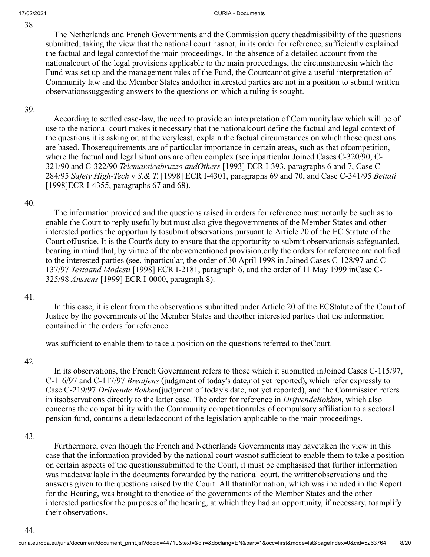The Netherlands and French Governments and the Commission query theadmissibility of the questions submitted, taking the view that the national court hasnot, in its order for reference, sufficiently explained the factual and legal contextof the main proceedings. In the absence of a detailed account from the nationalcourt of the legal provisions applicable to the main proceedings, the circumstancesin which the Fund was set up and the management rules of the Fund, the Courtcannot give a useful interpretation of Community law and the Member States andother interested parties are not in a position to submit written observationssuggesting answers to the questions on which a ruling is sought.

### 39.

 According to settled case-law, the need to provide an interpretation of Communitylaw which will be of use to the national court makes it necessary that the nationalcourt define the factual and legal context of the questions it is asking or, at the veryleast, explain the factual circumstances on which those questions are based. Thoserequirements are of particular importance in certain areas, such as that ofcompetition, where the factual and legal situations are often complex (see inparticular Joined Cases C-320/90, C-321/90 and C-322/90 *Telemarsicabruzzo andOthers* [1993] ECR I-393, paragraphs 6 and 7, Case C-284/95 *Safety High-Tech* v *S.& T.* [1998] ECR I-4301, paragraphs 69 and 70, and Case C-341/95 *Bettati* [1998]ECR I-4355, paragraphs 67 and 68).

### 40.

 The information provided and the questions raised in orders for reference must notonly be such as to enable the Court to reply usefully but must also give thegovernments of the Member States and other interested parties the opportunity tosubmit observations pursuant to Article 20 of the EC Statute of the Court ofJustice. It is the Court's duty to ensure that the opportunity to submit observationsis safeguarded, bearing in mind that, by virtue of the abovementioned provision,only the orders for reference are notified to the interested parties (see, inparticular, the order of 30 April 1998 in Joined Cases C-128/97 and C-137/97 *Testaand Modesti* [1998] ECR I-2181, paragraph 6, and the order of 11 May 1999 inCase C-325/98 *Anssens* [1999] ECR I-0000, paragraph 8).

### 41.

 In this case, it is clear from the observations submitted under Article 20 of the ECStatute of the Court of Justice by the governments of the Member States and theother interested parties that the information contained in the orders for reference

was sufficient to enable them to take a position on the questions referred to theCourt.

### 42.

 In its observations, the French Government refers to those which it submitted inJoined Cases C-115/97, C-116/97 and C-117/97 *Brentjens* (judgment of today's date,not yet reported), which refer expressly to Case C-219/97 *Drijvende Bokken*(judgment of today's date, not yet reported), and the Commission refers in itsobservations directly to the latter case. The order for reference in *DrijvendeBokken*, which also concerns the compatibility with the Community competitionrules of compulsory affiliation to a sectoral pension fund, contains a detailedaccount of the legislation applicable to the main proceedings.

### 43.

 Furthermore, even though the French and Netherlands Governments may havetaken the view in this case that the information provided by the national court wasnot sufficient to enable them to take a position on certain aspects of the questionssubmitted to the Court, it must be emphasised that further information was madeavailable in the documents forwarded by the national court, the writtenobservations and the answers given to the questions raised by the Court. All thatinformation, which was included in the Report for the Hearing, was brought to thenotice of the governments of the Member States and the other interested partiesfor the purposes of the hearing, at which they had an opportunity, if necessary, toamplify their observations.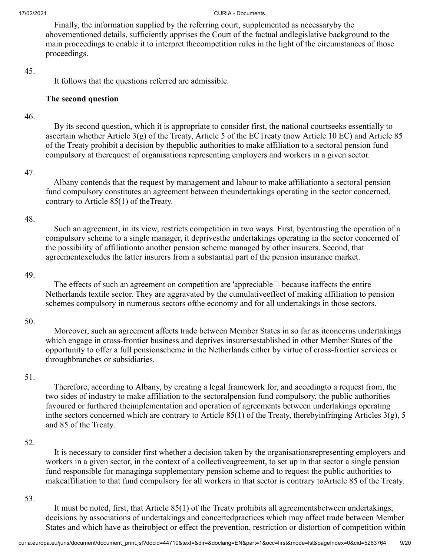Finally, the information supplied by the referring court, supplemented as necessaryby the abovementioned details, sufficiently apprises the Court of the factual andlegislative background to the main proceedings to enable it to interpret thecompetition rules in the light of the circumstances of those proceedings.

#### 45.

It follows that the questions referred are admissible.

### **The second question**

#### 46.

 By its second question, which it is appropriate to consider first, the national courtseeks essentially to ascertain whether Article 3(g) of the Treaty, Article 5 of the ECTreaty (now Article 10 EC) and Article 85 of the Treaty prohibit a decision by thepublic authorities to make affiliation to a sectoral pension fund compulsory at therequest of organisations representing employers and workers in a given sector.

#### 47.

 Albany contends that the request by management and labour to make affiliationto a sectoral pension fund compulsory constitutes an agreement between theundertakings operating in the sector concerned, contrary to Article 85(1) of theTreaty.

#### 48.

 Such an agreement, in its view, restricts competition in two ways. First, byentrusting the operation of a compulsory scheme to a single manager, it deprivesthe undertakings operating in the sector concerned of the possibility of affiliationto another pension scheme managed by other insurers. Second, that agreementexcludes the latter insurers from a substantial part of the pension insurance market.

#### 49.

The effects of such an agreement on competition are 'appreciable  $\Box$  because itaffects the entire Netherlands textile sector. They are aggravated by the cumulativeeffect of making affiliation to pension schemes compulsory in numerous sectors ofthe economy and for all undertakings in those sectors.

#### 50.

 Moreover, such an agreement affects trade between Member States in so far as itconcerns undertakings which engage in cross-frontier business and deprives insurersestablished in other Member States of the opportunity to offer a full pensionscheme in the Netherlands either by virtue of cross-frontier services or throughbranches or subsidiaries.

### 51.

 Therefore, according to Albany, by creating a legal framework for, and accedingto a request from, the two sides of industry to make affiliation to the sectoralpension fund compulsory, the public authorities favoured or furthered theimplementation and operation of agreements between undertakings operating inthe sectors concerned which are contrary to Article 85(1) of the Treaty, thereby infringing Articles  $3(g)$ , 5 and 85 of the Treaty.

#### 52.

 It is necessary to consider first whether a decision taken by the organisationsrepresenting employers and workers in a given sector, in the context of a collectiveagreement, to set up in that sector a single pension fund responsible for managinga supplementary pension scheme and to request the public authorities to makeaffiliation to that fund compulsory for all workers in that sector is contrary toArticle 85 of the Treaty.

### 53.

 It must be noted, first, that Article 85(1) of the Treaty prohibits all agreementsbetween undertakings, decisions by associations of undertakings and concertedpractices which may affect trade between Member States and which have as theirobject or effect the prevention, restriction or distortion of competition within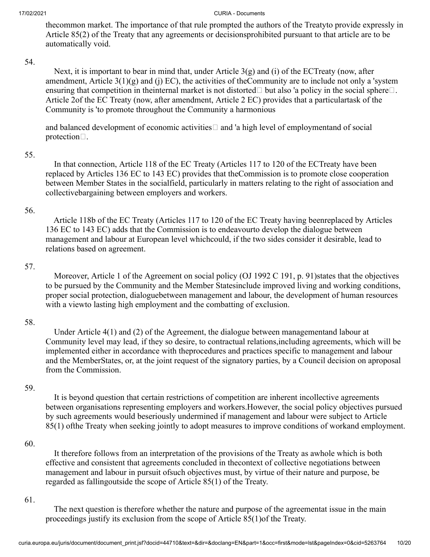thecommon market. The importance of that rule prompted the authors of the Treatyto provide expressly in Article 85(2) of the Treaty that any agreements or decisionsprohibited pursuant to that article are to be automatically void.

### 54.

Next, it is important to bear in mind that, under Article  $3(g)$  and (i) of the ECT reaty (now, after amendment, Article  $3(1)(g)$  and (j) EC), the activities of the Community are to include not only a 'system ensuring that competition in the internal market is not distorted  $\Box$  but also 'a policy in the social sphere  $\Box$ . Article 2of the EC Treaty (now, after amendment, Article 2 EC) provides that a particulartask of the Community is 'to promote throughout the Community a harmonious

and balanced development of economic activities $\Box$  and 'a high level of employmentand of social protection $\Box$ .

### 55.

 In that connection, Article 118 of the EC Treaty (Articles 117 to 120 of the ECTreaty have been replaced by Articles 136 EC to 143 EC) provides that theCommission is to promote close cooperation between Member States in the socialfield, particularly in matters relating to the right of association and collectivebargaining between employers and workers.

## 56.

 Article 118b of the EC Treaty (Articles 117 to 120 of the EC Treaty having beenreplaced by Articles 136 EC to 143 EC) adds that the Commission is to endeavourto develop the dialogue between management and labour at European level whichcould, if the two sides consider it desirable, lead to relations based on agreement.

## 57.

Moreover, Article 1 of the Agreement on social policy (OJ 1992 C 191, p. 91) states that the objectives to be pursued by the Community and the Member Statesinclude improved living and working conditions, proper social protection, dialoguebetween management and labour, the development of human resources with a viewto lasting high employment and the combatting of exclusion.

### 58.

 Under Article 4(1) and (2) of the Agreement, the dialogue between managementand labour at Community level may lead, if they so desire, to contractual relations,including agreements, which will be implemented either in accordance with theprocedures and practices specific to management and labour and the MemberStates, or, at the joint request of the signatory parties, by a Council decision on aproposal from the Commission.

### 59.

 It is beyond question that certain restrictions of competition are inherent incollective agreements between organisations representing employers and workers.However, the social policy objectives pursued by such agreements would beseriously undermined if management and labour were subject to Article 85(1) ofthe Treaty when seeking jointly to adopt measures to improve conditions of workand employment.

### 60.

 It therefore follows from an interpretation of the provisions of the Treaty as awhole which is both effective and consistent that agreements concluded in thecontext of collective negotiations between management and labour in pursuit ofsuch objectives must, by virtue of their nature and purpose, be regarded as fallingoutside the scope of Article 85(1) of the Treaty.

### 61.

 The next question is therefore whether the nature and purpose of the agreementat issue in the main proceedings justify its exclusion from the scope of Article 85(1)of the Treaty.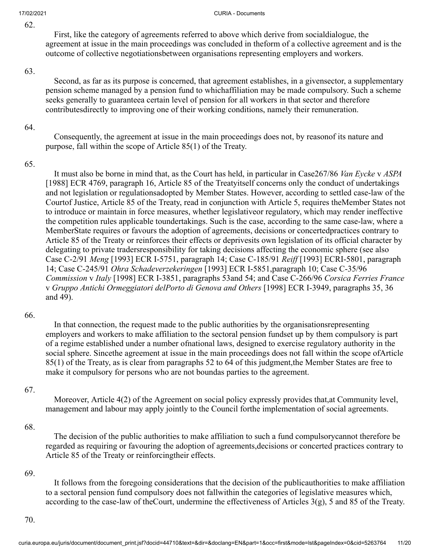#### 17/02/2021 CURIA - Documents

 First, like the category of agreements referred to above which derive from socialdialogue, the agreement at issue in the main proceedings was concluded in theform of a collective agreement and is the outcome of collective negotiationsbetween organisations representing employers and workers.

### 63.

 Second, as far as its purpose is concerned, that agreement establishes, in a givensector, a supplementary pension scheme managed by a pension fund to whichaffiliation may be made compulsory. Such a scheme seeks generally to guaranteea certain level of pension for all workers in that sector and therefore contributesdirectly to improving one of their working conditions, namely their remuneration.

### 64.

 Consequently, the agreement at issue in the main proceedings does not, by reasonof its nature and purpose, fall within the scope of Article 85(1) of the Treaty.

#### 65.

 It must also be borne in mind that, as the Court has held, in particular in Case267/86 *Van Eycke* v *ASPA* [1988] ECR 4769, paragraph 16, Article 85 of the Treatyitself concerns only the conduct of undertakings and not legislation or regulationsadopted by Member States. However, according to settled case-law of the Courtof Justice, Article 85 of the Treaty, read in conjunction with Article 5, requires theMember States not to introduce or maintain in force measures, whether legislativeor regulatory, which may render ineffective the competition rules applicable toundertakings. Such is the case, according to the same case-law, where a MemberState requires or favours the adoption of agreements, decisions or concertedpractices contrary to Article 85 of the Treaty or reinforces their effects or deprivesits own legislation of its official character by delegating to private tradersresponsibility for taking decisions affecting the economic sphere (see also Case C-2/91 *Meng* [1993] ECR I-5751, paragraph 14; Case C-185/91 *Reiff* [1993] ECRI-5801, paragraph 14; Case C-245/91 *Ohra Schadeverzekeringen* [1993] ECR I-5851,paragraph 10; Case C-35/96 *Commission* v *Italy* [1998] ECR I-3851, paragraphs 53and 54; and Case C-266/96 *Corsica Ferries France* v *Gruppo Antichi Ormeggiatori delPorto di Genova and Others* [1998] ECR I-3949, paragraphs 35, 36 and 49).

### 66.

 In that connection, the request made to the public authorities by the organisationsrepresenting employers and workers to make affiliation to the sectoral pension fundset up by them compulsory is part of a regime established under a number ofnational laws, designed to exercise regulatory authority in the social sphere. Sincethe agreement at issue in the main proceedings does not fall within the scope ofArticle 85(1) of the Treaty, as is clear from paragraphs 52 to 64 of this judgment,the Member States are free to make it compulsory for persons who are not boundas parties to the agreement.

#### 67.

 Moreover, Article 4(2) of the Agreement on social policy expressly provides that,at Community level, management and labour may apply jointly to the Council forthe implementation of social agreements.

### 68.

 The decision of the public authorities to make affiliation to such a fund compulsorycannot therefore be regarded as requiring or favouring the adoption of agreements,decisions or concerted practices contrary to Article 85 of the Treaty or reinforcingtheir effects.

### 69.

 It follows from the foregoing considerations that the decision of the publicauthorities to make affiliation to a sectoral pension fund compulsory does not fallwithin the categories of legislative measures which, according to the case-law of theCourt, undermine the effectiveness of Articles 3(g), 5 and 85 of the Treaty.

70.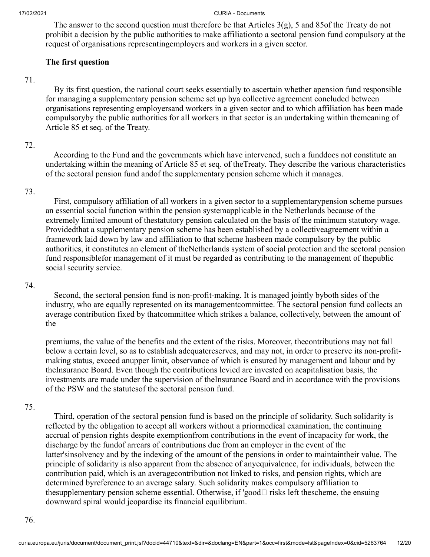The answer to the second question must therefore be that Articles 3(g), 5 and 85of the Treaty do not prohibit a decision by the public authorities to make affiliationto a sectoral pension fund compulsory at the request of organisations representingemployers and workers in a given sector.

## **The first question**

### 71.

 By its first question, the national court seeks essentially to ascertain whether apension fund responsible for managing a supplementary pension scheme set up bya collective agreement concluded between organisations representing employersand workers in a given sector and to which affiliation has been made compulsoryby the public authorities for all workers in that sector is an undertaking within themeaning of Article 85 et seq. of the Treaty.

## 72.

 According to the Fund and the governments which have intervened, such a funddoes not constitute an undertaking within the meaning of Article 85 et seq. of theTreaty. They describe the various characteristics of the sectoral pension fund andof the supplementary pension scheme which it manages.

## 73.

 First, compulsory affiliation of all workers in a given sector to a supplementarypension scheme pursues an essential social function within the pension systemapplicable in the Netherlands because of the extremely limited amount of thestatutory pension calculated on the basis of the minimum statutory wage. Providedthat a supplementary pension scheme has been established by a collectiveagreement within a framework laid down by law and affiliation to that scheme hasbeen made compulsory by the public authorities, it constitutes an element of theNetherlands system of social protection and the sectoral pension fund responsiblefor management of it must be regarded as contributing to the management of thepublic social security service.

### 74.

 Second, the sectoral pension fund is non-profit-making. It is managed jointly byboth sides of the industry, who are equally represented on its managementcommittee. The sectoral pension fund collects an average contribution fixed by thatcommittee which strikes a balance, collectively, between the amount of the

premiums, the value of the benefits and the extent of the risks. Moreover, thecontributions may not fall below a certain level, so as to establish adequatereserves, and may not, in order to preserve its non-profitmaking status, exceed anupper limit, observance of which is ensured by management and labour and by theInsurance Board. Even though the contributions levied are invested on acapitalisation basis, the investments are made under the supervision of theInsurance Board and in accordance with the provisions of the PSW and the statutesof the sectoral pension fund.

## 75.

 Third, operation of the sectoral pension fund is based on the principle of solidarity. Such solidarity is reflected by the obligation to accept all workers without a priormedical examination, the continuing accrual of pension rights despite exemptionfrom contributions in the event of incapacity for work, the discharge by the fundof arrears of contributions due from an employer in the event of the latter'sinsolvency and by the indexing of the amount of the pensions in order to maintaintheir value. The principle of solidarity is also apparent from the absence of anyequivalence, for individuals, between the contribution paid, which is an averagecontribution not linked to risks, and pension rights, which are determined byreference to an average salary. Such solidarity makes compulsory affiliation to thesupplementary pension scheme essential. Otherwise, if 'good  $\Box$  risks left thescheme, the ensuing downward spiral would jeopardise its financial equilibrium.

76.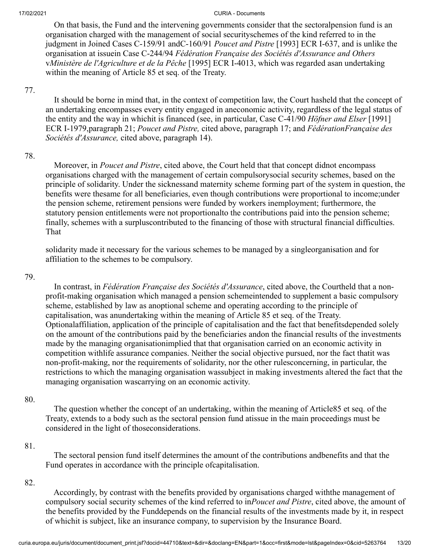On that basis, the Fund and the intervening governments consider that the sectoralpension fund is an organisation charged with the management of social securityschemes of the kind referred to in the judgment in Joined Cases C-159/91 andC-160/91 *Poucet and Pistre* [1993] ECR I-637, and is unlike the organisation at issuein Case C-244/94 *Fédération Française des Sociétés d'Assurance and Others* v*Ministère de l'Agriculture et de la Pêche* [1995] ECR I-4013, which was regarded asan undertaking within the meaning of Article 85 et seq. of the Treaty.

### 77.

 It should be borne in mind that, in the context of competition law, the Court hasheld that the concept of an undertaking encompasses every entity engaged in aneconomic activity, regardless of the legal status of the entity and the way in whichit is financed (see, in particular, Case C-41/90 *Höfner and Elser* [1991] ECR I-1979,paragraph 21; *Poucet and Pistre,* cited above, paragraph 17; and *FédérationFrançaise des Sociétés d'Assurance,* cited above, paragraph 14).

### 78.

 Moreover, in *Poucet and Pistre*, cited above, the Court held that that concept didnot encompass organisations charged with the management of certain compulsorysocial security schemes, based on the principle of solidarity. Under the sicknessand maternity scheme forming part of the system in question, the benefits were thesame for all beneficiaries, even though contributions were proportional to income;under the pension scheme, retirement pensions were funded by workers inemployment; furthermore, the statutory pension entitlements were not proportionalto the contributions paid into the pension scheme; finally, schemes with a surpluscontributed to the financing of those with structural financial difficulties. That

solidarity made it necessary for the various schemes to be managed by a singleorganisation and for affiliation to the schemes to be compulsory.

### 79.

 In contrast, in *Fédération Française des Sociétés d'Assurance*, cited above, the Courtheld that a nonprofit-making organisation which managed a pension schemeintended to supplement a basic compulsory scheme, established by law as anoptional scheme and operating according to the principle of capitalisation, was anundertaking within the meaning of Article 85 et seq. of the Treaty. Optionalaffiliation, application of the principle of capitalisation and the fact that benefitsdepended solely on the amount of the contributions paid by the beneficiaries andon the financial results of the investments made by the managing organisationimplied that that organisation carried on an economic activity in competition withlife assurance companies. Neither the social objective pursued, nor the fact thatit was non-profit-making, nor the requirements of solidarity, nor the other rulesconcerning, in particular, the restrictions to which the managing organisation wassubject in making investments altered the fact that the managing organisation wascarrying on an economic activity.

### 80.

 The question whether the concept of an undertaking, within the meaning of Article85 et seq. of the Treaty, extends to a body such as the sectoral pension fund atissue in the main proceedings must be considered in the light of thoseconsiderations.

### 81.

 The sectoral pension fund itself determines the amount of the contributions andbenefits and that the Fund operates in accordance with the principle ofcapitalisation.

### 82.

 Accordingly, by contrast with the benefits provided by organisations charged withthe management of compulsory social security schemes of the kind referred to in*Poucet and Pistre*, cited above, the amount of the benefits provided by the Funddepends on the financial results of the investments made by it, in respect of whichit is subject, like an insurance company, to supervision by the Insurance Board.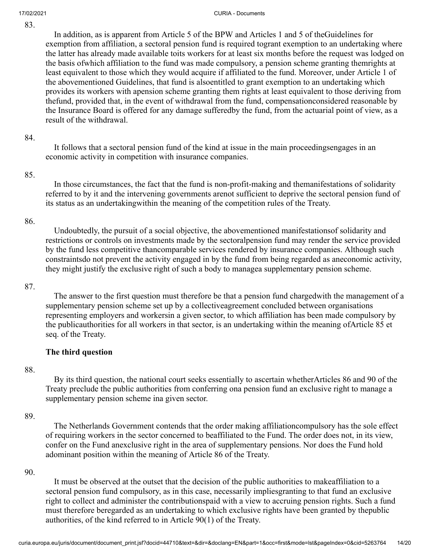In addition, as is apparent from Article 5 of the BPW and Articles 1 and 5 of theGuidelines for exemption from affiliation, a sectoral pension fund is required togrant exemption to an undertaking where the latter has already made available toits workers for at least six months before the request was lodged on the basis ofwhich affiliation to the fund was made compulsory, a pension scheme granting themrights at least equivalent to those which they would acquire if affiliated to the fund. Moreover, under Article 1 of the abovementioned Guidelines, that fund is alsoentitled to grant exemption to an undertaking which provides its workers with apension scheme granting them rights at least equivalent to those deriving from thefund, provided that, in the event of withdrawal from the fund, compensationconsidered reasonable by the Insurance Board is offered for any damage sufferedby the fund, from the actuarial point of view, as a result of the withdrawal.

### 84.

 It follows that a sectoral pension fund of the kind at issue in the main proceedingsengages in an economic activity in competition with insurance companies.

### 85.

 In those circumstances, the fact that the fund is non-profit-making and themanifestations of solidarity referred to by it and the intervening governments arenot sufficient to deprive the sectoral pension fund of its status as an undertakingwithin the meaning of the competition rules of the Treaty.

## 86.

 Undoubtedly, the pursuit of a social objective, the abovementioned manifestationsof solidarity and restrictions or controls on investments made by the sectoralpension fund may render the service provided by the fund less competitive thancomparable services rendered by insurance companies. Although such constraintsdo not prevent the activity engaged in by the fund from being regarded as aneconomic activity, they might justify the exclusive right of such a body to managea supplementary pension scheme.

### 87.

 The answer to the first question must therefore be that a pension fund chargedwith the management of a supplementary pension scheme set up by a collectiveagreement concluded between organisations representing employers and workersin a given sector, to which affiliation has been made compulsory by the publicauthorities for all workers in that sector, is an undertaking within the meaning ofArticle 85 et seq. of the Treaty.

## **The third question**

### 88.

 By its third question, the national court seeks essentially to ascertain whetherArticles 86 and 90 of the Treaty preclude the public authorities from conferring ona pension fund an exclusive right to manage a supplementary pension scheme ina given sector.

### 89.

 The Netherlands Government contends that the order making affiliationcompulsory has the sole effect of requiring workers in the sector concerned to beaffiliated to the Fund. The order does not, in its view, confer on the Fund anexclusive right in the area of supplementary pensions. Nor does the Fund hold adominant position within the meaning of Article 86 of the Treaty.

### 90.

 It must be observed at the outset that the decision of the public authorities to makeaffiliation to a sectoral pension fund compulsory, as in this case, necessarily impliesgranting to that fund an exclusive right to collect and administer the contributionspaid with a view to accruing pension rights. Such a fund must therefore beregarded as an undertaking to which exclusive rights have been granted by thepublic authorities, of the kind referred to in Article 90(1) of the Treaty.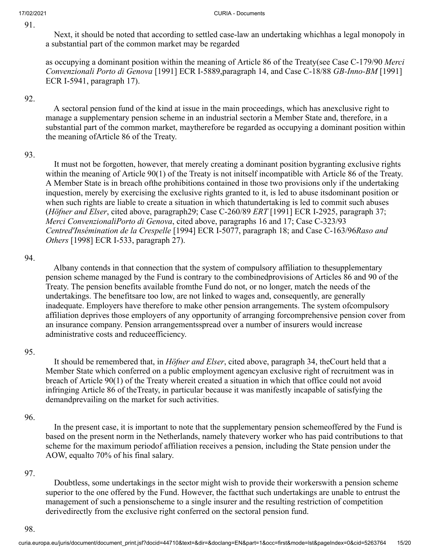Next, it should be noted that according to settled case-law an undertaking whichhas a legal monopoly in a substantial part of the common market may be regarded

as occupying a dominant position within the meaning of Article 86 of the Treaty(see Case C-179/90 *Merci Convenzionali Porto di Genova* [1991] ECR I-5889,paragraph 14, and Case C-18/88 *GB-Inno-BM* [1991] ECR I-5941, paragraph 17).

## 92.

 A sectoral pension fund of the kind at issue in the main proceedings, which has anexclusive right to manage a supplementary pension scheme in an industrial sectorin a Member State and, therefore, in a substantial part of the common market, maytherefore be regarded as occupying a dominant position within the meaning ofArticle 86 of the Treaty.

### 93.

 It must not be forgotten, however, that merely creating a dominant position bygranting exclusive rights within the meaning of Article 90(1) of the Treaty is not initself incompatible with Article 86 of the Treaty. A Member State is in breach ofthe prohibitions contained in those two provisions only if the undertaking inquestion, merely by exercising the exclusive rights granted to it, is led to abuse itsdominant position or when such rights are liable to create a situation in which thatundertaking is led to commit such abuses (*Höfner and Elser*, cited above, paragraph29; Case C-260/89 *ERT* [1991] ECR I-2925, paragraph 37; *Merci ConvenzionaliPorto di Genova*, cited above, paragraphs 16 and 17; Case C-323/93 *Centred'Insémination de la Crespelle* [1994] ECR I-5077, paragraph 18; and Case C-163/96*Raso and Others* [1998] ECR I-533, paragraph 27).

## 94.

 Albany contends in that connection that the system of compulsory affiliation to thesupplementary pension scheme managed by the Fund is contrary to the combinedprovisions of Articles 86 and 90 of the Treaty. The pension benefits available fromthe Fund do not, or no longer, match the needs of the undertakings. The benefitsare too low, are not linked to wages and, consequently, are generally inadequate. Employers have therefore to make other pension arrangements. The system ofcompulsory affiliation deprives those employers of any opportunity of arranging forcomprehensive pension cover from an insurance company. Pension arrangementsspread over a number of insurers would increase administrative costs and reduceefficiency.

### 95.

 It should be remembered that, in *Höfner and Elser*, cited above, paragraph 34, theCourt held that a Member State which conferred on a public employment agencyan exclusive right of recruitment was in breach of Article 90(1) of the Treaty whereit created a situation in which that office could not avoid infringing Article 86 of theTreaty, in particular because it was manifestly incapable of satisfying the demandprevailing on the market for such activities.

## 96.

 In the present case, it is important to note that the supplementary pension schemeoffered by the Fund is based on the present norm in the Netherlands, namely thatevery worker who has paid contributions to that scheme for the maximum periodof affiliation receives a pension, including the State pension under the AOW, equalto 70% of his final salary.

### 97.

 Doubtless, some undertakings in the sector might wish to provide their workerswith a pension scheme superior to the one offered by the Fund. However, the factthat such undertakings are unable to entrust the management of such a pensionscheme to a single insurer and the resulting restriction of competition derivedirectly from the exclusive right conferred on the sectoral pension fund.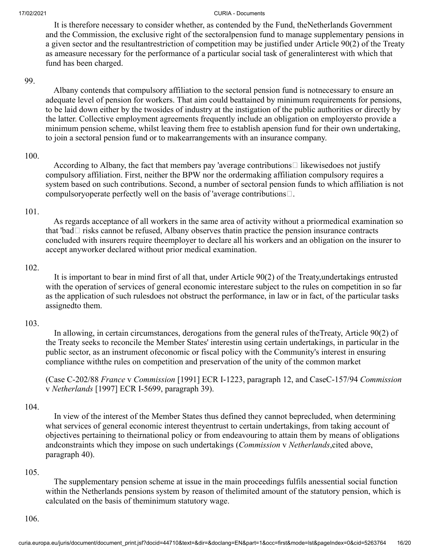It is therefore necessary to consider whether, as contended by the Fund, theNetherlands Government and the Commission, the exclusive right of the sectoralpension fund to manage supplementary pensions in a given sector and the resultantrestriction of competition may be justified under Article 90(2) of the Treaty as ameasure necessary for the performance of a particular social task of generalinterest with which that fund has been charged.

### 99.

 Albany contends that compulsory affiliation to the sectoral pension fund is notnecessary to ensure an adequate level of pension for workers. That aim could beattained by minimum requirements for pensions, to be laid down either by the twosides of industry at the instigation of the public authorities or directly by the latter. Collective employment agreements frequently include an obligation on employersto provide a minimum pension scheme, whilst leaving them free to establish apension fund for their own undertaking, to join a sectoral pension fund or to makearrangements with an insurance company.

### 100.

According to Albany, the fact that members pay 'average contributions  $\Box$  likewisedoes not justify compulsory affiliation. First, neither the BPW nor the ordermaking affiliation compulsory requires a system based on such contributions. Second, a number of sectoral pension funds to which affiliation is not compulsory operate perfectly well on the basis of 'average contributions...

### 101.

 As regards acceptance of all workers in the same area of activity without a priormedical examination so that 'bad $\Box$  risks cannot be refused, Albany observes thatin practice the pension insurance contracts concluded with insurers require theemployer to declare all his workers and an obligation on the insurer to accept anyworker declared without prior medical examination.

### 102.

 It is important to bear in mind first of all that, under Article 90(2) of the Treaty,undertakings entrusted with the operation of services of general economic interestare subject to the rules on competition in so far as the application of such rulesdoes not obstruct the performance, in law or in fact, of the particular tasks assignedto them.

### 103.

 In allowing, in certain circumstances, derogations from the general rules of theTreaty, Article 90(2) of the Treaty seeks to reconcile the Member States' interestin using certain undertakings, in particular in the public sector, as an instrument ofeconomic or fiscal policy with the Community's interest in ensuring compliance withthe rules on competition and preservation of the unity of the common market

(Case C-202/88 *France* v *Commission* [1991] ECR I-1223, paragraph 12, and CaseC-157/94 *Commission* v *Netherlands* [1997] ECR I-5699, paragraph 39).

#### 104.

 In view of the interest of the Member States thus defined they cannot beprecluded, when determining what services of general economic interest theyentrust to certain undertakings, from taking account of objectives pertaining to theirnational policy or from endeavouring to attain them by means of obligations andconstraints which they impose on such undertakings (*Commission* v *Netherlands*,cited above, paragraph 40).

#### 105.

 The supplementary pension scheme at issue in the main proceedings fulfils anessential social function within the Netherlands pensions system by reason of thelimited amount of the statutory pension, which is calculated on the basis of theminimum statutory wage.

106.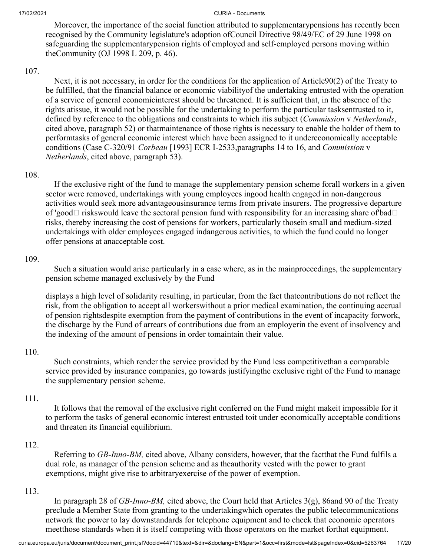Moreover, the importance of the social function attributed to supplementarypensions has recently been recognised by the Community legislature's adoption ofCouncil Directive 98/49/EC of 29 June 1998 on safeguarding the supplementarypension rights of employed and self-employed persons moving within theCommunity (OJ 1998 L 209, p. 46).

## 107.

 Next, it is not necessary, in order for the conditions for the application of Article90(2) of the Treaty to be fulfilled, that the financial balance or economic viabilityof the undertaking entrusted with the operation of a service of general economicinterest should be threatened. It is sufficient that, in the absence of the rights atissue, it would not be possible for the undertaking to perform the particular tasksentrusted to it, defined by reference to the obligations and constraints to which itis subject (*Commission* v *Netherlands*, cited above, paragraph 52) or thatmaintenance of those rights is necessary to enable the holder of them to performtasks of general economic interest which have been assigned to it undereconomically acceptable conditions (Case C-320/91 *Corbeau* [1993] ECR I-2533,paragraphs 14 to 16, and *Commission* v *Netherlands*, cited above, paragraph 53).

## 108.

 If the exclusive right of the fund to manage the supplementary pension scheme forall workers in a given sector were removed, undertakings with young employees ingood health engaged in non-dangerous activities would seek more advantageousinsurance terms from private insurers. The progressive departure of 'good $\Box$  riskswould leave the sectoral pension fund with responsibility for an increasing share of bad $\Box$ risks, thereby increasing the cost of pensions for workers, particularly thosein small and medium-sized undertakings with older employees engaged indangerous activities, to which the fund could no longer offer pensions at anacceptable cost.

## 109.

 Such a situation would arise particularly in a case where, as in the mainproceedings, the supplementary pension scheme managed exclusively by the Fund

displays a high level of solidarity resulting, in particular, from the fact thatcontributions do not reflect the risk, from the obligation to accept all workerswithout a prior medical examination, the continuing accrual of pension rightsdespite exemption from the payment of contributions in the event of incapacity forwork, the discharge by the Fund of arrears of contributions due from an employerin the event of insolvency and the indexing of the amount of pensions in order tomaintain their value.

### 110.

 Such constraints, which render the service provided by the Fund less competitivethan a comparable service provided by insurance companies, go towards justifyingthe exclusive right of the Fund to manage the supplementary pension scheme.

### 111.

 It follows that the removal of the exclusive right conferred on the Fund might makeit impossible for it to perform the tasks of general economic interest entrusted toit under economically acceptable conditions and threaten its financial equilibrium.

### 112.

 Referring to *GB-Inno-BM,* cited above, Albany considers, however, that the factthat the Fund fulfils a dual role, as manager of the pension scheme and as theauthority vested with the power to grant exemptions, might give rise to arbitraryexercise of the power of exemption.

### 113.

 In paragraph 28 of *GB-Inno-BM,* cited above, the Court held that Articles 3(g), 86and 90 of the Treaty preclude a Member State from granting to the undertakingwhich operates the public telecommunications network the power to lay downstandards for telephone equipment and to check that economic operators meetthose standards when it is itself competing with those operators on the market forthat equipment.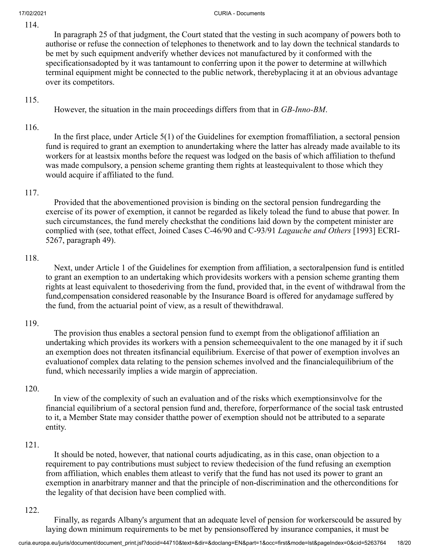17/02/2021 CURIA - Documents

 In paragraph 25 of that judgment, the Court stated that the vesting in such acompany of powers both to authorise or refuse the connection of telephones to thenetwork and to lay down the technical standards to be met by such equipment andverify whether devices not manufactured by it conformed with the specificationsadopted by it was tantamount to conferring upon it the power to determine at willwhich terminal equipment might be connected to the public network, therebyplacing it at an obvious advantage over its competitors.

### 115.

However, the situation in the main proceedings differs from that in *GB-Inno-BM*.

## 116.

 In the first place, under Article 5(1) of the Guidelines for exemption fromaffiliation, a sectoral pension fund is required to grant an exemption to anundertaking where the latter has already made available to its workers for at leastsix months before the request was lodged on the basis of which affiliation to thefund was made compulsory, a pension scheme granting them rights at leastequivalent to those which they would acquire if affiliated to the fund.

## 117.

 Provided that the abovementioned provision is binding on the sectoral pension fundregarding the exercise of its power of exemption, it cannot be regarded as likely tolead the fund to abuse that power. In such circumstances, the fund merely checksthat the conditions laid down by the competent minister are complied with (see, tothat effect, Joined Cases C-46/90 and C-93/91 *Lagauche and Others* [1993] ECRI-5267, paragraph 49).

## 118.

 Next, under Article 1 of the Guidelines for exemption from affiliation, a sectoralpension fund is entitled to grant an exemption to an undertaking which providesits workers with a pension scheme granting them rights at least equivalent to thosederiving from the fund, provided that, in the event of withdrawal from the fund,compensation considered reasonable by the Insurance Board is offered for anydamage suffered by the fund, from the actuarial point of view, as a result of thewithdrawal.

## 119.

 The provision thus enables a sectoral pension fund to exempt from the obligationof affiliation an undertaking which provides its workers with a pension schemeequivalent to the one managed by it if such an exemption does not threaten itsfinancial equilibrium. Exercise of that power of exemption involves an evaluationof complex data relating to the pension schemes involved and the financialequilibrium of the fund, which necessarily implies a wide margin of appreciation.

### 120.

 In view of the complexity of such an evaluation and of the risks which exemptionsinvolve for the financial equilibrium of a sectoral pension fund and, therefore, forperformance of the social task entrusted to it, a Member State may consider thatthe power of exemption should not be attributed to a separate entity.

### 121.

 It should be noted, however, that national courts adjudicating, as in this case, onan objection to a requirement to pay contributions must subject to review thedecision of the fund refusing an exemption from affiliation, which enables them atleast to verify that the fund has not used its power to grant an exemption in anarbitrary manner and that the principle of non-discrimination and the otherconditions for the legality of that decision have been complied with.

### 122.

 Finally, as regards Albany's argument that an adequate level of pension for workerscould be assured by laying down minimum requirements to be met by pensionsoffered by insurance companies, it must be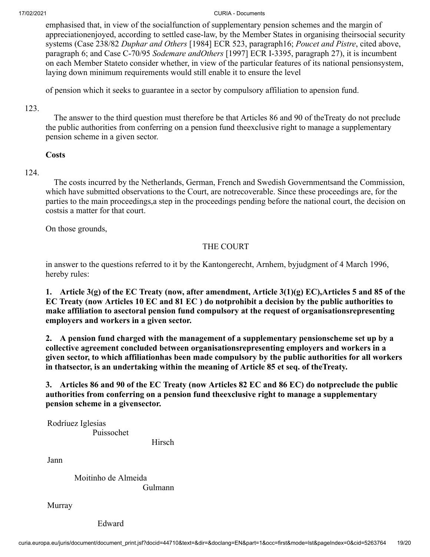emphasised that, in view of the socialfunction of supplementary pension schemes and the margin of appreciationenjoyed, according to settled case-law, by the Member States in organising theirsocial security systems (Case 238/82 *Duphar and Others* [1984] ECR 523, paragraph16; *Poucet and Pistre*, cited above, paragraph 6; and Case C-70/95 *Sodemare andOthers* [1997] ECR I-3395, paragraph 27), it is incumbent on each Member Stateto consider whether, in view of the particular features of its national pensionsystem, laying down minimum requirements would still enable it to ensure the level

of pension which it seeks to guarantee in a sector by compulsory affiliation to apension fund.

# 123.

 The answer to the third question must therefore be that Articles 86 and 90 of theTreaty do not preclude the public authorities from conferring on a pension fund theexclusive right to manage a supplementary pension scheme in a given sector.

# **Costs**

# 124.

 The costs incurred by the Netherlands, German, French and Swedish Governmentsand the Commission, which have submitted observations to the Court, are notrecoverable. Since these proceedings are, for the parties to the main proceedings,a step in the proceedings pending before the national court, the decision on costsis a matter for that court.

On those grounds,

# THE COURT

in answer to the questions referred to it by the Kantongerecht, Arnhem, byjudgment of 4 March 1996, hereby rules:

**1. Article 3(g) of the EC Treaty (now, after amendment, Article 3(1)(g) EC),Articles 5 and 85 of the EC Treaty (now Articles 10 EC and 81 EC ) do notprohibit a decision by the public authorities to make affiliation to asectoral pension fund compulsory at the request of organisationsrepresenting employers and workers in a given sector.**

**2. A pension fund charged with the management of a supplementary pensionscheme set up by a collective agreement concluded between organisationsrepresenting employers and workers in a given sector, to which affiliationhas been made compulsory by the public authorities for all workers in thatsector, is an undertaking within the meaning of Article 85 et seq. of theTreaty.**

**3. Articles 86 and 90 of the EC Treaty (now Articles 82 EC and 86 EC) do notpreclude the public authorities from conferring on a pension fund theexclusive right to manage a supplementary pension scheme in a givensector.**

Rodríuez Iglesias Puissochet

Hirsch

Jann

Moitinho de Almeida Gulmann

Murray

Edward